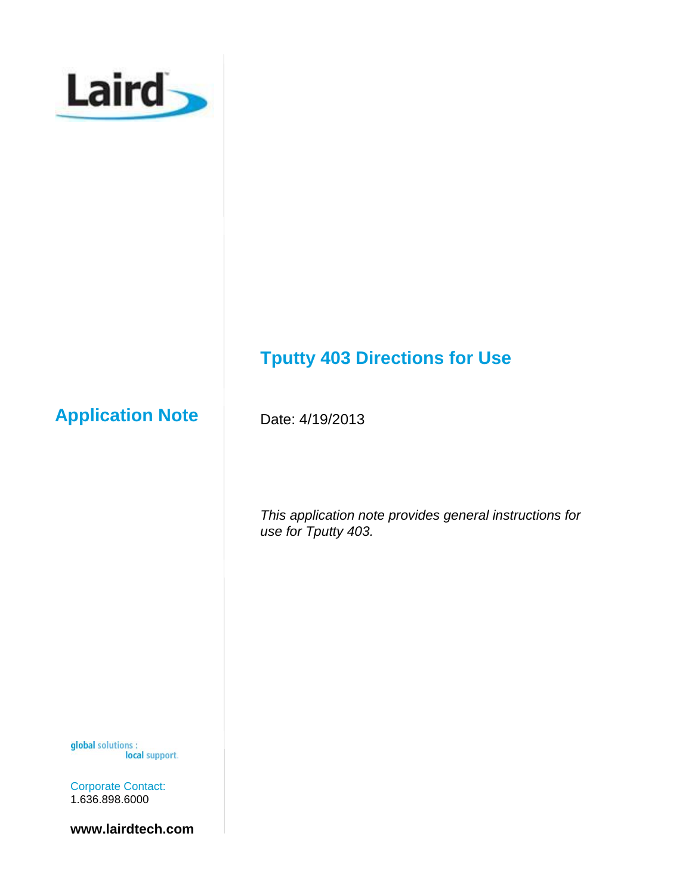

# **Application Note**

Date: 4/19/2013

*This application note provides general instructions for use for Tputty 403.*

**Tputty 403 Directions for Use**

global solutions : local support.

Corporate Contact: 1.636.898.6000

**www.lairdtech.com**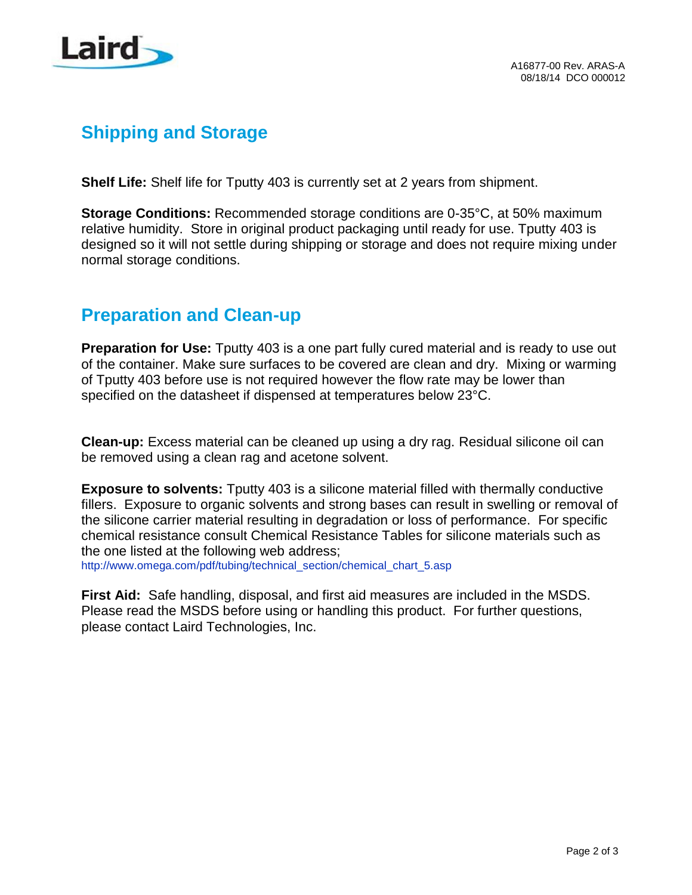

## **Shipping and Storage**

**Shelf Life:** Shelf life for Tputty 403 is currently set at 2 years from shipment.

**Storage Conditions:** Recommended storage conditions are 0-35°C, at 50% maximum relative humidity. Store in original product packaging until ready for use. Tputty 403 is designed so it will not settle during shipping or storage and does not require mixing under normal storage conditions.

### **Preparation and Clean-up**

**Preparation for Use:** Tputty 403 is a one part fully cured material and is ready to use out of the container. Make sure surfaces to be covered are clean and dry. Mixing or warming of Tputty 403 before use is not required however the flow rate may be lower than specified on the datasheet if dispensed at temperatures below 23°C.

**Clean-up:** Excess material can be cleaned up using a dry rag. Residual silicone oil can be removed using a clean rag and acetone solvent.

**Exposure to solvents:** Tputty 403 is a silicone material filled with thermally conductive fillers. Exposure to organic solvents and strong bases can result in swelling or removal of the silicone carrier material resulting in degradation or loss of performance. For specific chemical resistance consult Chemical Resistance Tables for silicone materials such as the one listed at the following web address;

[http://www.omega.com/pdf/tubing/technical\\_section/chemical\\_chart\\_5.asp](http://www.omega.com/pdf/tubing/technical_section/chemical_chart_5.asp)

**First Aid:** Safe handling, disposal, and first aid measures are included in the MSDS. Please read the MSDS before using or handling this product. For further questions, please contact Laird Technologies, Inc.